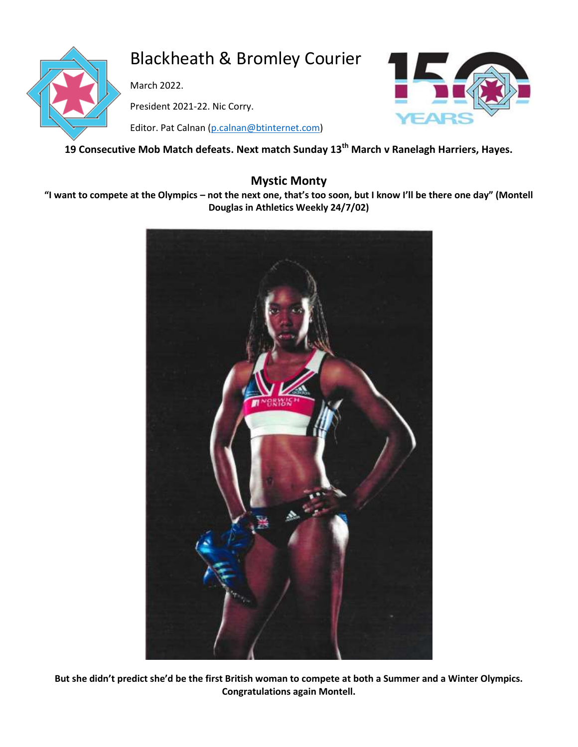

# Blackheath & Bromley Courier

March 2022.

President 2021-22. Nic Corry.

Editor. Pat Calnan [\(p.calnan@btinternet.com\)](mailto:p.calnan@btinternet.com)



## **19 Consecutive Mob Match defeats. Next match Sunday 13th March v Ranelagh Harriers, Hayes.**

## **Mystic Monty**

**"I want to compete at the Olympics – not the next one, that's too soon, but I know I'll be there one day" (Montell Douglas in Athletics Weekly 24/7/02)**



**But she didn't predict she'd be the first British woman to compete at both a Summer and a Winter Olympics. Congratulations again Montell.**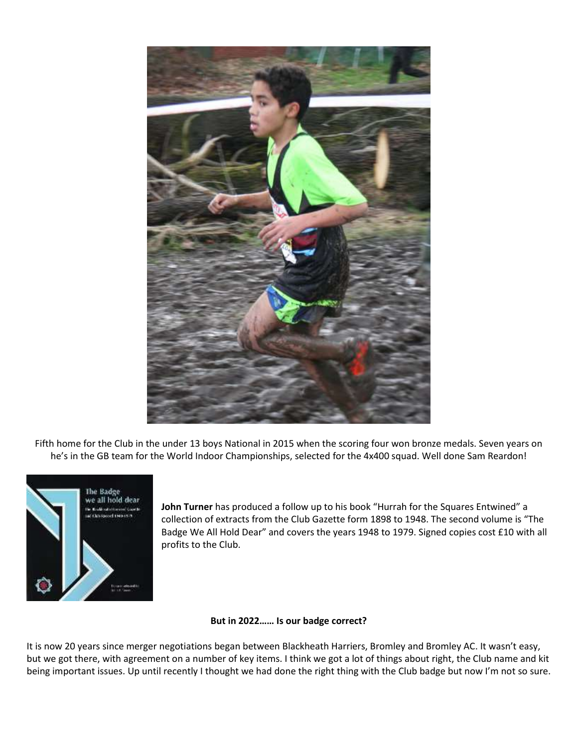

Fifth home for the Club in the under 13 boys National in 2015 when the scoring four won bronze medals. Seven years on he's in the GB team for the World Indoor Championships, selected for the 4x400 squad. Well done Sam Reardon!



**John Turner** has produced a follow up to his book "Hurrah for the Squares Entwined" a collection of extracts from the Club Gazette form 1898 to 1948. The second volume is "The Badge We All Hold Dear" and covers the years 1948 to 1979. Signed copies cost £10 with all profits to the Club.

#### **But in 2022…… Is our badge correct?**

It is now 20 years since merger negotiations began between Blackheath Harriers, Bromley and Bromley AC. It wasn't easy, but we got there, with agreement on a number of key items. I think we got a lot of things about right, the Club name and kit being important issues. Up until recently I thought we had done the right thing with the Club badge but now I'm not so sure.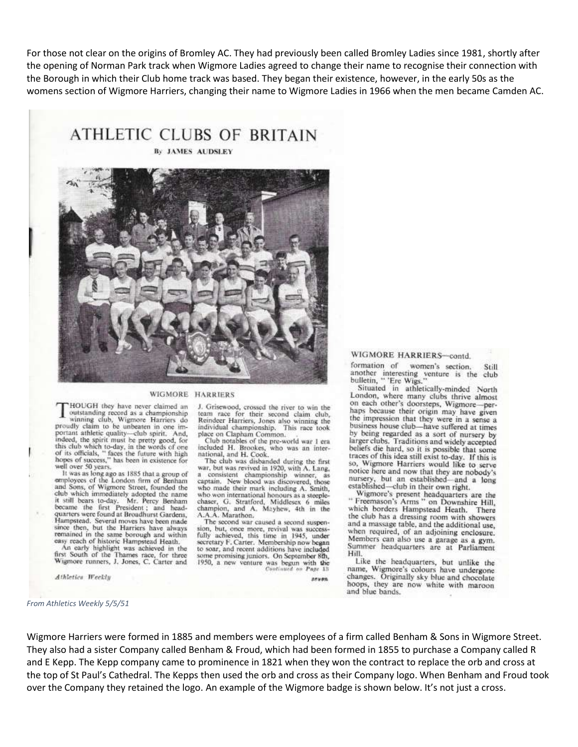For those not clear on the origins of Bromley AC. They had previously been called Bromley Ladies since 1981, shortly after the opening of Norman Park track when Wigmore Ladies agreed to change their name to recognise their connection with the Borough in which their Club home track was based. They began their existence, however, in the early 50s as the womens section of Wigmore Harriers, changing their name to Wigmore Ladies in 1966 when the men became Camden AC.

**ATHLETIC CLUBS OF BRITAIN** 

By JAMES AUDSLEY



#### WIGMORE HARRIERS

HOUGH they have never claimed an outstanding record as a championship winning club, Wigmore Harriers do<br>proudly claim to be unbeaten in one important athletic quality-club spirit, And, indeed, the spirit must be pretty good, for this club which to-day, in the words of one<br>of its officials, "faces the future with high hopes of success," has been in existence for well over 50 years.

It was as long ago as 1885 that a group of<br>employees of the London firm of Benham and Sons, of Wigmore Street, founded the club which immediately adopted the name<br>it still bears to-day. Mr. Percy Benham<br>became the first President; and headquarters were found at Broadhurst Gardens,<br>Hampstead. Several moves have been made since then, but the Harriers have always remained in the same borough and within easy reach of historic Hampstead Heath.

An early highlight was achieved in the<br>first South of the Thames race, for three Wigmore runners, J. Jones, C. Carter and

Athletics Weekly

#### WIGMORE HARRIERS-contd.

formation of women's section. Srill another interesting venture is the club<br>bulletin, " 'Ere Wigs."

Situated in athletically-minded North London, where many clubs thrive almost on each other's doorsteps, Wigmore-perhaps because their origin may have given the impression that they were in a sense a business house club-have suffered at times by being regarded as a sort of nursery by larger clubs. Traditions and widely accepted beliefs die hard, so it is possible that some traces of this idea still exist to-day. If this is so, Wigmore Harriers would like to serve notice here and now that they are nobody's nursery, but an established—and a long<br>established—club in their own right.

Wigmore's present headquarters are the<br>"Freemason's Arms" on Downshire Hill, which borders Hampstead Heath. There the club has a dressing room with showers and a massage table, and the additional use, when required, of an adjoining enclosure. Members can also use a garage as a gym. Summer headquarters are at Parliament Hill.

Like the headquarters, but unlike the<br>name, Wigmore's colours have undergone changes. Originally sky blue and chocolate hoops, they are now white with maroon and blue bands.

#### *From Athletics Weekly 5/5/51*

team race for their second claim club,<br>Reindeer Harriers, Jones also winning the individual championship. This race took place on Clapham Common.<br>Club notables of the pre-world war 1 era

J. Grisewood, crossed the river to win the

included H. Brookes, who was an international, and H. Cook.

The club was disbanded during the first war, but was revived in 1920, with A. Lang, a consistent championship winner, as<br>captain. New blood was discovered, those who made their mark including A. Smith, who won international honours as a steeplechaser, G. Stratford, Middlesex 6 miles<br>champion, and A. Mayhew, 4th in the<br>A.A.A. Marathon.

The second war caused a second suspension, but, once more, revival was success-<br>fully achieved, this time in 1945, under secretary F. Carter. Membership now began to soar, and recent additions have included some promising juniors. On September 8th, 1950, a new venture was begun with the Continued on Page 18

seven

Wigmore Harriers were formed in 1885 and members were employees of a firm called Benham & Sons in Wigmore Street. They also had a sister Company called Benham & Froud, which had been formed in 1855 to purchase a Company called R and E Kepp. The Kepp company came to prominence in 1821 when they won the contract to replace the orb and cross at the top of St Paul's Cathedral. The Kepps then used the orb and cross as their Company logo. When Benham and Froud took over the Company they retained the logo. An example of the Wigmore badge is shown below. It's not just a cross.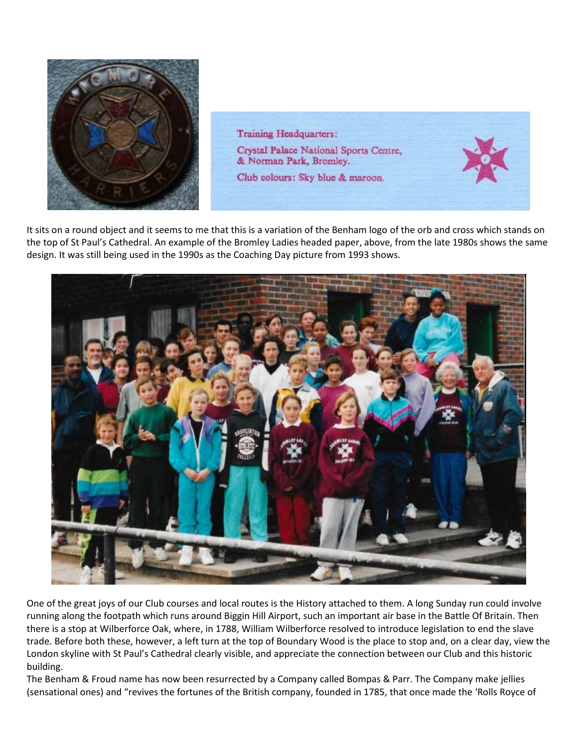

**Training Headquarters:** Crystal Palace National Sports Centre, & Norman Park, Bromley. Club colours: Sky blue & maroon.

It sits on a round object and it seems to me that this is a variation of the Benham logo of the orb and cross which stands on the top of St Paul's Cathedral. An example of the Bromley Ladies headed paper, above, from the late 1980s shows the same design. It was still being used in the 1990s as the Coaching Day picture from 1993 shows.



One of the great joys of our Club courses and local routes is the History attached to them. A long Sunday run could involve running along the footpath which runs around Biggin Hill Airport, such an important air base in the Battle Of Britain. Then there is a stop at Wilberforce Oak, where, in 1788, William Wilberforce resolved to introduce legislation to end the slave trade. Before both these, however, a left turn at the top of Boundary Wood is the place to stop and, on a clear day, view the London skyline with St Paul's Cathedral clearly visible, and appreciate the connection between our Club and this historic building.

The Benham & Froud name has now been resurrected by a Company called Bompas & Parr. The Company make jellies (sensational ones) and "revives the fortunes of the British company, founded in 1785, that once made the 'Rolls Royce of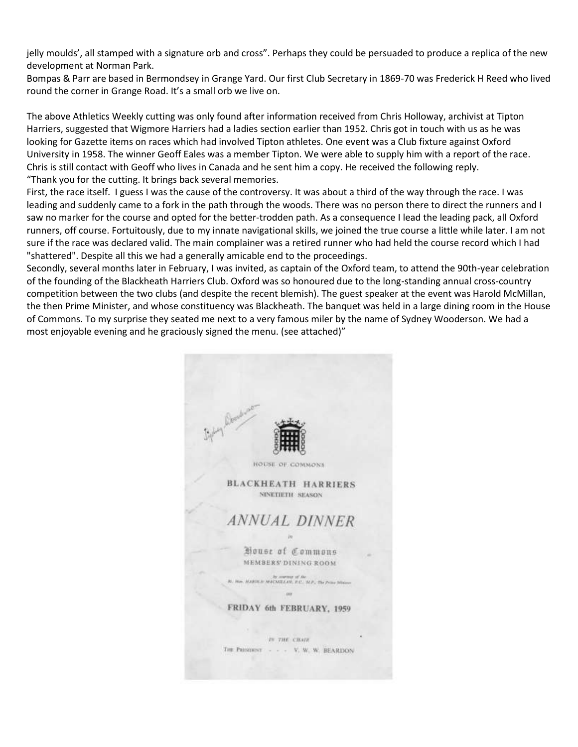jelly moulds', all stamped with a signature orb and cross". Perhaps they could be persuaded to produce a replica of the new development at Norman Park.

Bompas & Parr are based in Bermondsey in Grange Yard. Our first Club Secretary in 1869-70 was Frederick H Reed who lived round the corner in Grange Road. It's a small orb we live on.

The above Athletics Weekly cutting was only found after information received from Chris Holloway, archivist at Tipton Harriers, suggested that Wigmore Harriers had a ladies section earlier than 1952. Chris got in touch with us as he was looking for Gazette items on races which had involved Tipton athletes. One event was a Club fixture against Oxford University in 1958. The winner Geoff Eales was a member Tipton. We were able to supply him with a report of the race. Chris is still contact with Geoff who lives in Canada and he sent him a copy. He received the following reply. "Thank you for the cutting. It brings back several memories.

First, the race itself. I guess I was the cause of the controversy. It was about a third of the way through the race. I was leading and suddenly came to a fork in the path through the woods. There was no person there to direct the runners and I saw no marker for the course and opted for the better-trodden path. As a consequence I lead the leading pack, all Oxford runners, off course. Fortuitously, due to my innate navigational skills, we joined the true course a little while later. I am not sure if the race was declared valid. The main complainer was a retired runner who had held the course record which I had "shattered". Despite all this we had a generally amicable end to the proceedings.

Secondly, several months later in February, I was invited, as captain of the Oxford team, to attend the 90th-year celebration of the founding of the Blackheath Harriers Club. Oxford was so honoured due to the long-standing annual cross-country competition between the two clubs (and despite the recent blemish). The guest speaker at the event was Harold McMillan, the then Prime Minister, and whose constituency was Blackheath. The banquet was held in a large dining room in the House of Commons. To my surprise they seated me next to a very famous miler by the name of Sydney Wooderson. We had a most enjoyable evening and he graciously signed the menu. (see attached)"

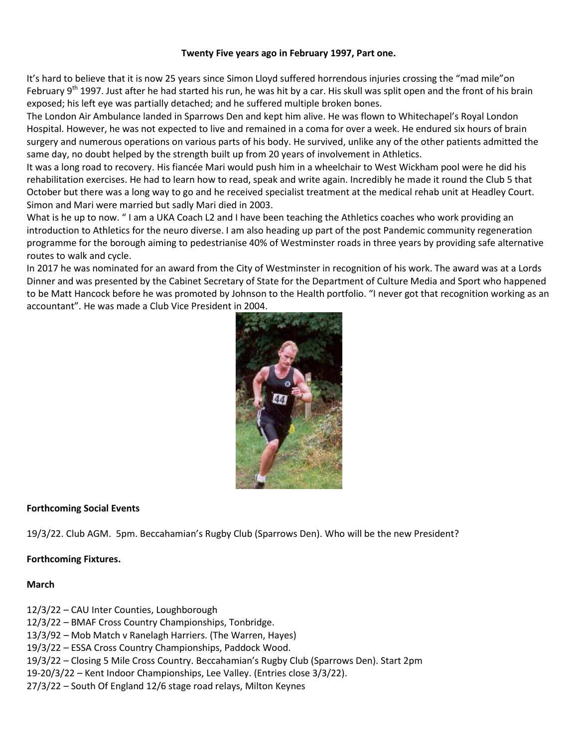#### **Twenty Five years ago in February 1997, Part one.**

It's hard to believe that it is now 25 years since Simon Lloyd suffered horrendous injuries crossing the "mad mile"on February  $9^{th}$  1997. Just after he had started his run, he was hit by a car. His skull was split open and the front of his brain exposed; his left eye was partially detached; and he suffered multiple broken bones.

The London Air Ambulance landed in Sparrows Den and kept him alive. He was flown to Whitechapel's Royal London Hospital. However, he was not expected to live and remained in a coma for over a week. He endured six hours of brain surgery and numerous operations on various parts of his body. He survived, unlike any of the other patients admitted the same day, no doubt helped by the strength built up from 20 years of involvement in Athletics.

It was a long road to recovery. His fiancée Mari would push him in a wheelchair to West Wickham pool were he did his rehabilitation exercises. He had to learn how to read, speak and write again. Incredibly he made it round the Club 5 that October but there was a long way to go and he received specialist treatment at the medical rehab unit at Headley Court. Simon and Mari were married but sadly Mari died in 2003.

What is he up to now. " I am a UKA Coach L2 and I have been teaching the Athletics coaches who work providing an introduction to Athletics for the neuro diverse. I am also heading up part of the post Pandemic community regeneration programme for the borough aiming to pedestrianise 40% of Westminster roads in three years by providing safe alternative routes to walk and cycle.

In 2017 he was nominated for an award from the City of Westminster in recognition of his work. The award was at a Lords Dinner and was presented by the Cabinet Secretary of State for the Department of Culture Media and Sport who happened to be Matt Hancock before he was promoted by Johnson to the Health portfolio. "I never got that recognition working as an accountant". He was made a Club Vice President in 2004.



#### **Forthcoming Social Events**

19/3/22. Club AGM. 5pm. Beccahamian's Rugby Club (Sparrows Den). Who will be the new President?

#### **Forthcoming Fixtures.**

#### **March**

12/3/22 – CAU Inter Counties, Loughborough

12/3/22 – BMAF Cross Country Championships, Tonbridge.

13/3/92 – Mob Match v Ranelagh Harriers. (The Warren, Hayes)

19/3/22 – ESSA Cross Country Championships, Paddock Wood.

19/3/22 – Closing 5 Mile Cross Country. Beccahamian's Rugby Club (Sparrows Den). Start 2pm

19-20/3/22 – Kent Indoor Championships, Lee Valley. (Entries close 3/3/22).

27/3/22 – South Of England 12/6 stage road relays, Milton Keynes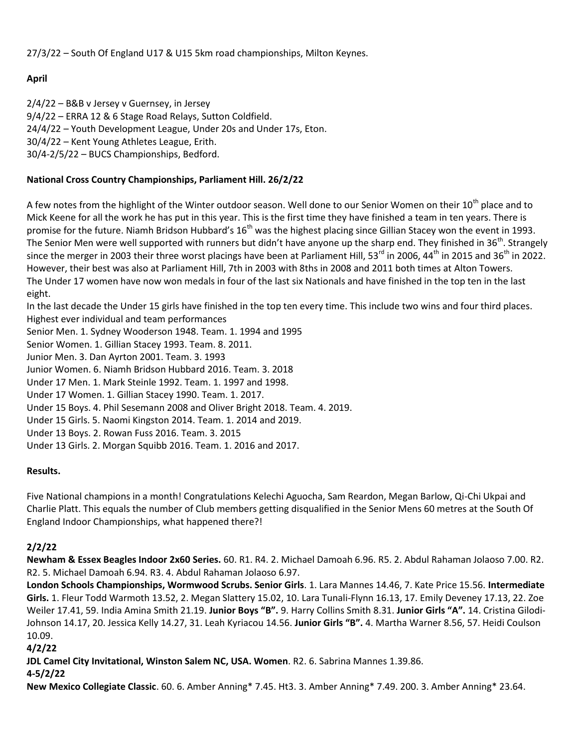27/3/22 – South Of England U17 & U15 5km road championships, Milton Keynes.

### **April**

2/4/22 – B&B v Jersey v Guernsey, in Jersey 9/4/22 – ERRA 12 & 6 Stage Road Relays, Sutton Coldfield. 24/4/22 – Youth Development League, Under 20s and Under 17s, Eton. 30/4/22 – Kent Young Athletes League, Erith. 30/4-2/5/22 – BUCS Championships, Bedford.

### **National Cross Country Championships, Parliament Hill. 26/2/22**

A few notes from the highlight of the Winter outdoor season. Well done to our Senior Women on their 10<sup>th</sup> place and to Mick Keene for all the work he has put in this year. This is the first time they have finished a team in ten years. There is promise for the future. Niamh Bridson Hubbard's  $16<sup>th</sup>$  was the highest placing since Gillian Stacey won the event in 1993. The Senior Men were well supported with runners but didn't have anyone up the sharp end. They finished in 36<sup>th</sup>. Strangely since the merger in 2003 their three worst placings have been at Parliament Hill, 53<sup>rd</sup> in 2006, 44<sup>th</sup> in 2015 and 36<sup>th</sup> in 2022. However, their best was also at Parliament Hill, 7th in 2003 with 8ths in 2008 and 2011 both times at Alton Towers. The Under 17 women have now won medals in four of the last six Nationals and have finished in the top ten in the last eight.

In the last decade the Under 15 girls have finished in the top ten every time. This include two wins and four third places. Highest ever individual and team performances

Senior Men. 1. Sydney Wooderson 1948. Team. 1. 1994 and 1995

Senior Women. 1. Gillian Stacey 1993. Team. 8. 2011.

Junior Men. 3. Dan Ayrton 2001. Team. 3. 1993

Junior Women. 6. Niamh Bridson Hubbard 2016. Team. 3. 2018

Under 17 Men. 1. Mark Steinle 1992. Team. 1. 1997 and 1998.

Under 17 Women. 1. Gillian Stacey 1990. Team. 1. 2017.

Under 15 Boys. 4. Phil Sesemann 2008 and Oliver Bright 2018. Team. 4. 2019.

Under 15 Girls. 5. Naomi Kingston 2014. Team. 1. 2014 and 2019.

Under 13 Boys. 2. Rowan Fuss 2016. Team. 3. 2015

Under 13 Girls. 2. Morgan Squibb 2016. Team. 1. 2016 and 2017.

### **Results.**

Five National champions in a month! Congratulations Kelechi Aguocha, Sam Reardon, Megan Barlow, Qi-Chi Ukpai and Charlie Platt. This equals the number of Club members getting disqualified in the Senior Mens 60 metres at the South Of England Indoor Championships, what happened there?!

### **2/2/22**

**Newham & Essex Beagles Indoor 2x60 Series.** 60. R1. R4. 2. Michael Damoah 6.96. R5. 2. Abdul Rahaman Jolaoso 7.00. R2. R2. 5. Michael Damoah 6.94. R3. 4. Abdul Rahaman Jolaoso 6.97.

**London Schools Championships, Wormwood Scrubs. Senior Girls**. 1. Lara Mannes 14.46, 7. Kate Price 15.56. **Intermediate Girls.** 1. Fleur Todd Warmoth 13.52, 2. Megan Slattery 15.02, 10. Lara Tunali-Flynn 16.13, 17. Emily Deveney 17.13, 22. Zoe Weiler 17.41, 59. India Amina Smith 21.19. **Junior Boys "B".** 9. Harry Collins Smith 8.31. **Junior Girls "A".** 14. Cristina Gilodi-Johnson 14.17, 20. Jessica Kelly 14.27, 31. Leah Kyriacou 14.56. **Junior Girls "B".** 4. Martha Warner 8.56, 57. Heidi Coulson 10.09.

**4/2/22**

**JDL Camel City Invitational, Winston Salem NC, USA. Women**. R2. 6. Sabrina Mannes 1.39.86.

**4-5/2/22**

**New Mexico Collegiate Classic**. 60. 6. Amber Anning\* 7.45. Ht3. 3. Amber Anning\* 7.49. 200. 3. Amber Anning\* 23.64.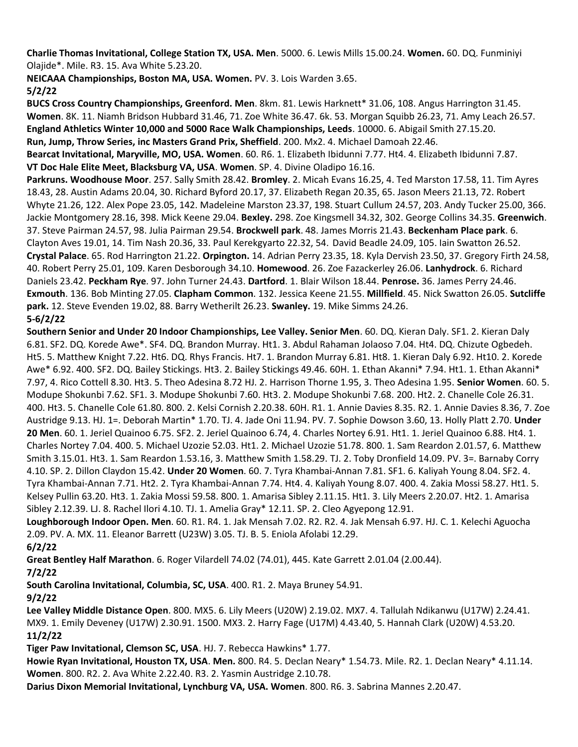**Charlie Thomas Invitational, College Station TX, USA. Men**. 5000. 6. Lewis Mills 15.00.24. **Women.** 60. DQ. Funminiyi Olajide\*. Mile. R3. 15. Ava White 5.23.20.

**NEICAAA Championships, Boston MA, USA. Women.** PV. 3. Lois Warden 3.65. **5/2/22**

**BUCS Cross Country Championships, Greenford. Men**. 8km. 81. Lewis Harknett\* 31.06, 108. Angus Harrington 31.45. **Women**. 8K. 11. Niamh Bridson Hubbard 31.46, 71. Zoe White 36.47. 6k. 53. Morgan Squibb 26.23, 71. Amy Leach 26.57. **England Athletics Winter 10,000 and 5000 Race Walk Championships, Leeds**. 10000. 6. Abigail Smith 27.15.20. **Run, Jump, Throw Series, inc Masters Grand Prix, Sheffield**. 200. Mx2. 4. Michael Damoah 22.46. **Bearcat Invitational, Maryville, MO, USA. Women**. 60. R6. 1. Elizabeth Ibidunni 7.77. Ht4. 4. Elizabeth Ibidunni 7.87. **VT Doc Hale Elite Meet, Blacksburg VA, USA**. **Women**. SP. 4. Divine Oladipo 16.16. **Parkruns. Woodhouse Moor**. 257. Sally Smith 28.42. **Bromley**. 2. Micah Evans 16.25, 4. Ted Marston 17.58, 11. Tim Ayres

18.43, 28. Austin Adams 20.04, 30. Richard Byford 20.17, 37. Elizabeth Regan 20.35, 65. Jason Meers 21.13, 72. Robert Whyte 21.26, 122. Alex Pope 23.05, 142. Madeleine Marston 23.37, 198. Stuart Cullum 24.57, 203. Andy Tucker 25.00, 366. Jackie Montgomery 28.16, 398. Mick Keene 29.04. **Bexley.** 298. Zoe Kingsmell 34.32, 302. George Collins 34.35. **Greenwich**. 37. Steve Pairman 24.57, 98. Julia Pairman 29.54. **Brockwell park**. 48. James Morris 21.43. **Beckenham Place park**. 6. Clayton Aves 19.01, 14. Tim Nash 20.36, 33. Paul Kerekgyarto 22.32, 54. David Beadle 24.09, 105. Iain Swatton 26.52. **Crystal Palace**. 65. Rod Harrington 21.22. **Orpington.** 14. Adrian Perry 23.35, 18. Kyla Dervish 23.50, 37. Gregory Firth 24.58, 40. Robert Perry 25.01, 109. Karen Desborough 34.10. **Homewood**. 26. Zoe Fazackerley 26.06. **Lanhydrock**. 6. Richard Daniels 23.42. **Peckham Rye**. 97. John Turner 24.43. **Dartford**. 1. Blair Wilson 18.44. **Penrose.** 36. James Perry 24.46. **Exmouth**. 136. Bob Minting 27.05. **Clapham Common**. 132. Jessica Keene 21.55. **Millfield**. 45. Nick Swatton 26.05. **Sutcliffe park.** 12. Steve Evenden 19.02, 88. Barry Wetherilt 26.23. **Swanley.** 19. Mike Simms 24.26. **5-6/2/22**

**Southern Senior and Under 20 Indoor Championships, Lee Valley. Senior Men**. 60. DQ. Kieran Daly. SF1. 2. Kieran Daly 6.81. SF2. DQ. Korede Awe\*. SF4. DQ. Brandon Murray. Ht1. 3. Abdul Rahaman Jolaoso 7.04. Ht4. DQ. Chizute Ogbedeh. Ht5. 5. Matthew Knight 7.22. Ht6. DQ. Rhys Francis. Ht7. 1. Brandon Murray 6.81. Ht8. 1. Kieran Daly 6.92. Ht10. 2. Korede Awe\* 6.92. 400. SF2. DQ. Bailey Stickings. Ht3. 2. Bailey Stickings 49.46. 60H. 1. Ethan Akanni\* 7.94. Ht1. 1. Ethan Akanni\* 7.97, 4. Rico Cottell 8.30. Ht3. 5. Theo Adesina 8.72 HJ. 2. Harrison Thorne 1.95, 3. Theo Adesina 1.95. **Senior Women**. 60. 5. Modupe Shokunbi 7.62. SF1. 3. Modupe Shokunbi 7.60. Ht3. 2. Modupe Shokunbi 7.68. 200. Ht2. 2. Chanelle Cole 26.31. 400. Ht3. 5. Chanelle Cole 61.80. 800. 2. Kelsi Cornish 2.20.38. 60H. R1. 1. Annie Davies 8.35. R2. 1. Annie Davies 8.36, 7. Zoe Austridge 9.13. HJ. 1=. Deborah Martin\* 1.70. TJ. 4. Jade Oni 11.94. PV. 7. Sophie Dowson 3.60, 13. Holly Platt 2.70. **Under 20 Men**. 60. 1. Jeriel Quainoo 6.75. SF2. 2. Jeriel Quainoo 6.74, 4. Charles Nortey 6.91. Ht1. 1. Jeriel Quainoo 6.88. Ht4. 1. Charles Nortey 7.04. 400. 5. Michael Uzozie 52.03. Ht1. 2. Michael Uzozie 51.78. 800. 1. Sam Reardon 2.01.57, 6. Matthew Smith 3.15.01. Ht3. 1. Sam Reardon 1.53.16, 3. Matthew Smith 1.58.29. TJ. 2. Toby Dronfield 14.09. PV. 3=. Barnaby Corry 4.10. SP. 2. Dillon Claydon 15.42. **Under 20 Women**. 60. 7. Tyra Khambai-Annan 7.81. SF1. 6. Kaliyah Young 8.04. SF2. 4. Tyra Khambai-Annan 7.71. Ht2. 2. Tyra Khambai-Annan 7.74. Ht4. 4. Kaliyah Young 8.07. 400. 4. Zakia Mossi 58.27. Ht1. 5. Kelsey Pullin 63.20. Ht3. 1. Zakia Mossi 59.58. 800. 1. Amarisa Sibley 2.11.15. Ht1. 3. Lily Meers 2.20.07. Ht2. 1. Amarisa Sibley 2.12.39. LJ. 8. Rachel Ilori 4.10. TJ. 1. Amelia Gray\* 12.11. SP. 2. Cleo Agyepong 12.91.

**Loughborough Indoor Open. Men**. 60. R1. R4. 1. Jak Mensah 7.02. R2. R2. 4. Jak Mensah 6.97. HJ. C. 1. Kelechi Aguocha 2.09. PV. A. MX. 11. Eleanor Barrett (U23W) 3.05. TJ. B. 5. Eniola Afolabi 12.29.

**6/2/22**

**Great Bentley Half Marathon**. 6. Roger Vilardell 74.02 (74.01), 445. Kate Garrett 2.01.04 (2.00.44).

**7/2/22**

**South Carolina Invitational, Columbia, SC, USA**. 400. R1. 2. Maya Bruney 54.91.

**9/2/22**

**Lee Valley Middle Distance Open**. 800. MX5. 6. Lily Meers (U20W) 2.19.02. MX7. 4. Tallulah Ndikanwu (U17W) 2.24.41. MX9. 1. Emily Deveney (U17W) 2.30.91. 1500. MX3. 2. Harry Fage (U17M) 4.43.40, 5. Hannah Clark (U20W) 4.53.20. **11/2/22**

**Tiger Paw Invitational, Clemson SC, USA**. HJ. 7. Rebecca Hawkins\* 1.77.

**Howie Ryan Invitational, Houston TX, USA**. **Men.** 800. R4. 5. Declan Neary\* 1.54.73. Mile. R2. 1. Declan Neary\* 4.11.14. **Women**. 800. R2. 2. Ava White 2.22.40. R3. 2. Yasmin Austridge 2.10.78.

**Darius Dixon Memorial Invitational, Lynchburg VA, USA. Women**. 800. R6. 3. Sabrina Mannes 2.20.47.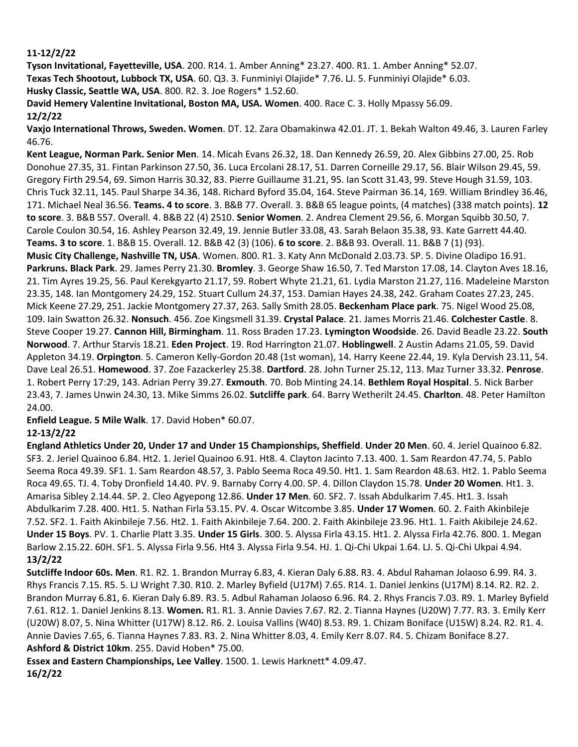#### **11-12/2/22**

**Tyson Invitational, Fayetteville, USA**. 200. R14. 1. Amber Anning\* 23.27. 400. R1. 1. Amber Anning\* 52.07. **Texas Tech Shootout, Lubbock TX, USA**. 60. Q3. 3. Funminiyi Olajide\* 7.76. LJ. 5. Funminiyi Olajide\* 6.03. **Husky Classic, Seattle WA, USA**. 800. R2. 3. Joe Rogers\* 1.52.60.

**David Hemery Valentine Invitational, Boston MA, USA. Women**. 400. Race C. 3. Holly Mpassy 56.09. **12/2/22**

**Vaxjo International Throws, Sweden. Women**. DT. 12. Zara Obamakinwa 42.01. JT. 1. Bekah Walton 49.46, 3. Lauren Farley 46.76.

**Kent League, Norman Park. Senior Men**. 14. Micah Evans 26.32, 18. Dan Kennedy 26.59, 20. Alex Gibbins 27.00, 25. Rob Donohue 27.35, 31. Fintan Parkinson 27.50, 36. Luca Ercolani 28.17, 51. Darren Corneille 29.17, 56. Blair Wilson 29.45, 59. Gregory Firth 29.54, 69. Simon Harris 30.32, 83. Pierre Guillaume 31.21, 95. Ian Scott 31.43, 99. Steve Hough 31.59, 103. Chris Tuck 32.11, 145. Paul Sharpe 34.36, 148. Richard Byford 35.04, 164. Steve Pairman 36.14, 169. William Brindley 36.46, 171. Michael Neal 36.56. **Teams. 4 to score**. 3. B&B 77. Overall. 3. B&B 65 league points, (4 matches) (338 match points). **12 to score**. 3. B&B 557. Overall. 4. B&B 22 (4) 2510. **Senior Women**. 2. Andrea Clement 29.56, 6. Morgan Squibb 30.50, 7. Carole Coulon 30.54, 16. Ashley Pearson 32.49, 19. Jennie Butler 33.08, 43. Sarah Belaon 35.38, 93. Kate Garrett 44.40. **Teams. 3 to score**. 1. B&B 15. Overall. 12. B&B 42 (3) (106). **6 to score**. 2. B&B 93. Overall. 11. B&B 7 (1) (93). **Music City Challenge, Nashville TN, USA**. Women. 800. R1. 3. Katy Ann McDonald 2.03.73. SP. 5. Divine Oladipo 16.91. **Parkruns. Black Park**. 29. James Perry 21.30. **Bromley**. 3. George Shaw 16.50, 7. Ted Marston 17.08, 14. Clayton Aves 18.16, 21. Tim Ayres 19.25, 56. Paul Kerekgyarto 21.17, 59. Robert Whyte 21.21, 61. Lydia Marston 21.27, 116. Madeleine Marston 23.35, 148. Ian Montgomery 24.29, 152. Stuart Cullum 24.37, 153. Damian Hayes 24.38, 242. Graham Coates 27.23, 245. Mick Keene 27.29, 251. Jackie Montgomery 27.37, 263. Sally Smith 28.05. **Beckenham Place park**. 75. Nigel Wood 25.08, 109. Iain Swatton 26.32. **Nonsuch**. 456. Zoe Kingsmell 31.39. **Crystal Palace**. 21. James Morris 21.46. **Colchester Castle**. 8. Steve Cooper 19.27. **Cannon Hill, Birmingham**. 11. Ross Braden 17.23. **Lymington Woodside**. 26. David Beadle 23.22. **South Norwood**. 7. Arthur Starvis 18.21. **Eden Project**. 19. Rod Harrington 21.07. **Hoblingwell**. 2 Austin Adams 21.05, 59. David Appleton 34.19. **Orpington**. 5. Cameron Kelly-Gordon 20.48 (1st woman), 14. Harry Keene 22.44, 19. Kyla Dervish 23.11, 54. Dave Leal 26.51. **Homewood**. 37. Zoe Fazackerley 25.38. **Dartford**. 28. John Turner 25.12, 113. Maz Turner 33.32. **Penrose**. 1. Robert Perry 17:29, 143. Adrian Perry 39.27. **Exmouth**. 70. Bob Minting 24.14. **Bethlem Royal Hospital**. 5. Nick Barber 23.43, 7. James Unwin 24.30, 13. Mike Simms 26.02. **Sutcliffe park**. 64. Barry Wetherilt 24.45. **Charlton**. 48. Peter Hamilton 24.00.

**Enfield League. 5 Mile Walk**. 17. David Hoben\* 60.07.

#### **12-13/2/22**

**England Athletics Under 20, Under 17 and Under 15 Championships, Sheffield**. **Under 20 Men**. 60. 4. Jeriel Quainoo 6.82. SF3. 2. Jeriel Quainoo 6.84. Ht2. 1. Jeriel Quainoo 6.91. Ht8. 4. Clayton Jacinto 7.13. 400. 1. Sam Reardon 47.74, 5. Pablo Seema Roca 49.39. SF1. 1. Sam Reardon 48.57, 3. Pablo Seema Roca 49.50. Ht1. 1. Sam Reardon 48.63. Ht2. 1. Pablo Seema Roca 49.65. TJ. 4. Toby Dronfield 14.40. PV. 9. Barnaby Corry 4.00. SP. 4. Dillon Claydon 15.78. **Under 20 Women**. Ht1. 3. Amarisa Sibley 2.14.44. SP. 2. Cleo Agyepong 12.86. **Under 17 Men**. 60. SF2. 7. Issah Abdulkarim 7.45. Ht1. 3. Issah Abdulkarim 7.28. 400. Ht1. 5. Nathan Firla 53.15. PV. 4. Oscar Witcombe 3.85. **Under 17 Women**. 60. 2. Faith Akinbileje 7.52. SF2. 1. Faith Akinbileje 7.56. Ht2. 1. Faith Akinbileje 7.64. 200. 2. Faith Akinbileje 23.96. Ht1. 1. Faith Akibileje 24.62. **Under 15 Boys**. PV. 1. Charlie Platt 3.35. **Under 15 Girls**. 300. 5. Alyssa Firla 43.15. Ht1. 2. Alyssa Firla 42.76. 800. 1. Megan Barlow 2.15.22. 60H. SF1. 5. Alyssa Firla 9.56. Ht4 3. Alyssa Firla 9.54. HJ. 1. Qi-Chi Ukpai 1.64. LJ. 5. Qi-Chi Ukpai 4.94. **13/2/22**

**Sutcliffe Indoor 60s. Men**. R1. R2. 1. Brandon Murray 6.83, 4. Kieran Daly 6.88. R3. 4. Abdul Rahaman Jolaoso 6.99. R4. 3. Rhys Francis 7.15. R5. 5. LJ Wright 7.30. R10. 2. Marley Byfield (U17M) 7.65. R14. 1. Daniel Jenkins (U17M) 8.14. R2. R2. 2. Brandon Murray 6.81, 6. Kieran Daly 6.89. R3. 5. Adbul Rahaman Jolaoso 6.96. R4. 2. Rhys Francis 7.03. R9. 1. Marley Byfield 7.61. R12. 1. Daniel Jenkins 8.13. **Women.** R1. R1. 3. Annie Davies 7.67. R2. 2. Tianna Haynes (U20W) 7.77. R3. 3. Emily Kerr (U20W) 8.07, 5. Nina Whitter (U17W) 8.12. R6. 2. Louisa Vallins (W40) 8.53. R9. 1. Chizam Boniface (U15W) 8.24. R2. R1. 4. Annie Davies 7.65, 6. Tianna Haynes 7.83. R3. 2. Nina Whitter 8.03, 4. Emily Kerr 8.07. R4. 5. Chizam Boniface 8.27. **Ashford & District 10km**. 255. David Hoben\* 75.00.

**Essex and Eastern Championships, Lee Valley**. 1500. 1. Lewis Harknett\* 4.09.47. **16/2/22**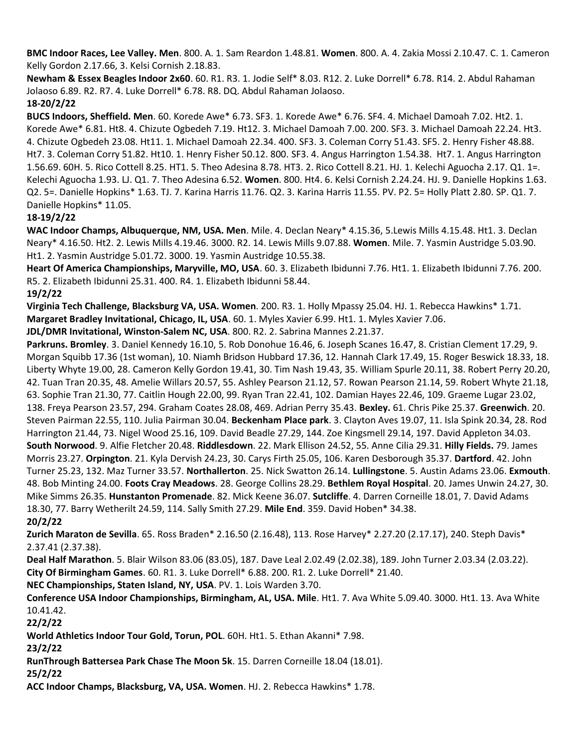**BMC Indoor Races, Lee Valley. Men**. 800. A. 1. Sam Reardon 1.48.81. **Women**. 800. A. 4. Zakia Mossi 2.10.47. C. 1. Cameron Kelly Gordon 2.17.66, 3. Kelsi Cornish 2.18.83.

**Newham & Essex Beagles Indoor 2x60**. 60. R1. R3. 1. Jodie Self\* 8.03. R12. 2. Luke Dorrell\* 6.78. R14. 2. Abdul Rahaman Jolaoso 6.89. R2. R7. 4. Luke Dorrell\* 6.78. R8. DQ. Abdul Rahaman Jolaoso.

#### **18-20/2/22**

**BUCS Indoors, Sheffield. Men**. 60. Korede Awe\* 6.73. SF3. 1. Korede Awe\* 6.76. SF4. 4. Michael Damoah 7.02. Ht2. 1. Korede Awe\* 6.81. Ht8. 4. Chizute Ogbedeh 7.19. Ht12. 3. Michael Damoah 7.00. 200. SF3. 3. Michael Damoah 22.24. Ht3. 4. Chizute Ogbedeh 23.08. Ht11. 1. Michael Damoah 22.34. 400. SF3. 3. Coleman Corry 51.43. SF5. 2. Henry Fisher 48.88. Ht7. 3. Coleman Corry 51.82. Ht10. 1. Henry Fisher 50.12. 800. SF3. 4. Angus Harrington 1.54.38. Ht7. 1. Angus Harrington 1.56.69. 60H. 5. Rico Cottell 8.25. HT1. 5. Theo Adesina 8.78. HT3. 2. Rico Cottell 8.21. HJ. 1. Kelechi Aguocha 2.17. Q1. 1=. Kelechi Aguocha 1.93. LJ. Q1. 7. Theo Adesina 6.52. **Women**. 800. Ht4. 6. Kelsi Cornish 2.24.24. HJ. 9. Danielle Hopkins 1.63. Q2. 5=. Danielle Hopkins\* 1.63. TJ. 7. Karina Harris 11.76. Q2. 3. Karina Harris 11.55. PV. P2. 5= Holly Platt 2.80. SP. Q1. 7. Danielle Hopkins\* 11.05.

#### **18-19/2/22**

**WAC Indoor Champs, Albuquerque, NM, USA. Men**. Mile. 4. Declan Neary\* 4.15.36, 5.Lewis Mills 4.15.48. Ht1. 3. Declan Neary\* 4.16.50. Ht2. 2. Lewis Mills 4.19.46. 3000. R2. 14. Lewis Mills 9.07.88. **Women**. Mile. 7. Yasmin Austridge 5.03.90. Ht1. 2. Yasmin Austridge 5.01.72. 3000. 19. Yasmin Austridge 10.55.38.

**Heart Of America Championships, Maryville, MO, USA**. 60. 3. Elizabeth Ibidunni 7.76. Ht1. 1. Elizabeth Ibidunni 7.76. 200. R5. 2. Elizabeth Ibidunni 25.31. 400. R4. 1. Elizabeth Ibidunni 58.44.

#### **19/2/22**

**Virginia Tech Challenge, Blacksburg VA, USA. Women**. 200. R3. 1. Holly Mpassy 25.04. HJ. 1. Rebecca Hawkins\* 1.71. **Margaret Bradley Invitational, Chicago, IL, USA**. 60. 1. Myles Xavier 6.99. Ht1. 1. Myles Xavier 7.06.

**JDL/DMR Invitational, Winston-Salem NC, USA**. 800. R2. 2. Sabrina Mannes 2.21.37.

**Parkruns. Bromley**. 3. Daniel Kennedy 16.10, 5. Rob Donohue 16.46, 6. Joseph Scanes 16.47, 8. Cristian Clement 17.29, 9. Morgan Squibb 17.36 (1st woman), 10. Niamh Bridson Hubbard 17.36, 12. Hannah Clark 17.49, 15. Roger Beswick 18.33, 18. Liberty Whyte 19.00, 28. Cameron Kelly Gordon 19.41, 30. Tim Nash 19.43, 35. William Spurle 20.11, 38. Robert Perry 20.20, 42. Tuan Tran 20.35, 48. Amelie Willars 20.57, 55. Ashley Pearson 21.12, 57. Rowan Pearson 21.14, 59. Robert Whyte 21.18, 63. Sophie Tran 21.30, 77. Caitlin Hough 22.00, 99. Ryan Tran 22.41, 102. Damian Hayes 22.46, 109. Graeme Lugar 23.02, 138. Freya Pearson 23.57, 294. Graham Coates 28.08, 469. Adrian Perry 35.43. **Bexley.** 61. Chris Pike 25.37. **Greenwich**. 20. Steven Pairman 22.55, 110. Julia Pairman 30.04. **Beckenham Place park**. 3. Clayton Aves 19.07, 11. Isla Spink 20.34, 28. Rod Harrington 21.44, 73. Nigel Wood 25.16, 109. David Beadle 27.29, 144. Zoe Kingsmell 29.14, 197. David Appleton 34.03. **South Norwood**. 9. Alfie Fletcher 20.48. **Riddlesdown**. 22. Mark Ellison 24.52, 55. Anne Cilia 29.31. **Hilly Fields.** 79. James Morris 23.27. **Orpington**. 21. Kyla Dervish 24.23, 30. Carys Firth 25.05, 106. Karen Desborough 35.37. **Dartford**. 42. John Turner 25.23, 132. Maz Turner 33.57. **Northallerton**. 25. Nick Swatton 26.14. **Lullingstone**. 5. Austin Adams 23.06. **Exmouth**. 48. Bob Minting 24.00. **Foots Cray Meadows**. 28. George Collins 28.29. **Bethlem Royal Hospital**. 20. James Unwin 24.27, 30. Mike Simms 26.35. **Hunstanton Promenade**. 82. Mick Keene 36.07. **Sutcliffe**. 4. Darren Corneille 18.01, 7. David Adams 18.30, 77. Barry Wetherilt 24.59, 114. Sally Smith 27.29. **Mile End**. 359. David Hoben\* 34.38. **20/2/22**

**Zurich Maraton de Sevilla**. 65. Ross Braden\* 2.16.50 (2.16.48), 113. Rose Harvey\* 2.27.20 (2.17.17), 240. Steph Davis\* 2.37.41 (2.37.38).

**Deal Half Marathon**. 5. Blair Wilson 83.06 (83.05), 187. Dave Leal 2.02.49 (2.02.38), 189. John Turner 2.03.34 (2.03.22). **City Of Birmingham Games**. 60. R1. 3. Luke Dorrell\* 6.88. 200. R1. 2. Luke Dorrell\* 21.40.

**NEC Championships, Staten Island, NY, USA**. PV. 1. Lois Warden 3.70.

**Conference USA Indoor Championships, Birmingham, AL, USA. Mile**. Ht1. 7. Ava White 5.09.40. 3000. Ht1. 13. Ava White 10.41.42.

**22/2/22**

**World Athletics Indoor Tour Gold, Torun, POL**. 60H. Ht1. 5. Ethan Akanni\* 7.98.

**23/2/22**

**RunThrough Battersea Park Chase The Moon 5k**. 15. Darren Corneille 18.04 (18.01).

**25/2/22**

**ACC Indoor Champs, Blacksburg, VA, USA. Women**. HJ. 2. Rebecca Hawkins\* 1.78.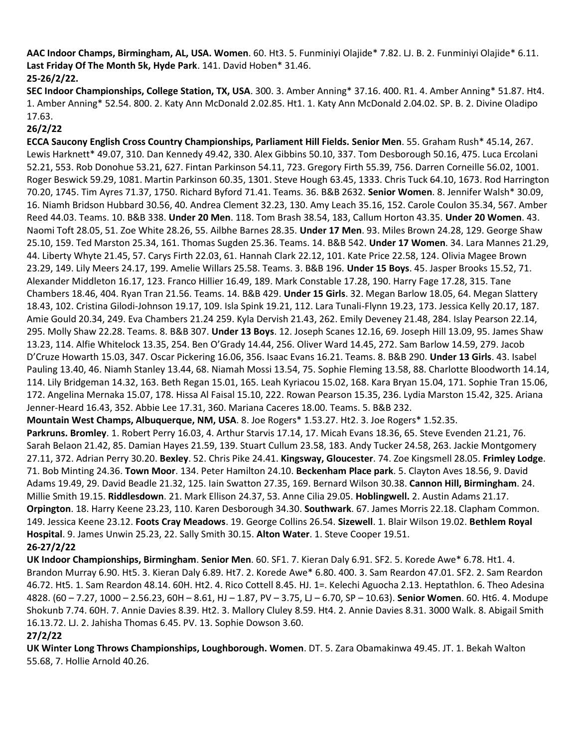**AAC Indoor Champs, Birmingham, AL, USA. Women**. 60. Ht3. 5. Funminiyi Olajide\* 7.82. LJ. B. 2. Funminiyi Olajide\* 6.11. **Last Friday Of The Month 5k, Hyde Park**. 141. David Hoben\* 31.46. **25-26/2/22.**

**SEC Indoor Championships, College Station, TX, USA**. 300. 3. Amber Anning\* 37.16. 400. R1. 4. Amber Anning\* 51.87. Ht4. 1. Amber Anning\* 52.54. 800. 2. Katy Ann McDonald 2.02.85. Ht1. 1. Katy Ann McDonald 2.04.02. SP. B. 2. Divine Oladipo 17.63.

#### **26/2/22**

**ECCA Saucony English Cross Country Championships, Parliament Hill Fields. Senior Men**. 55. Graham Rush\* 45.14, 267. Lewis Harknett\* 49.07, 310. Dan Kennedy 49.42, 330. Alex Gibbins 50.10, 337. Tom Desborough 50.16, 475. Luca Ercolani 52.21, 553. Rob Donohue 53.21, 627. Fintan Parkinson 54.11, 723. Gregory Firth 55.39, 756. Darren Corneille 56.02, 1001. Roger Beswick 59.29, 1081. Martin Parkinson 60.35, 1301. Steve Hough 63.45, 1333. Chris Tuck 64.10, 1673. Rod Harrington 70.20, 1745. Tim Ayres 71.37, 1750. Richard Byford 71.41. Teams. 36. B&B 2632. **Senior Women**. 8. Jennifer Walsh\* 30.09, 16. Niamh Bridson Hubbard 30.56, 40. Andrea Clement 32.23, 130. Amy Leach 35.16, 152. Carole Coulon 35.34, 567. Amber Reed 44.03. Teams. 10. B&B 338. **Under 20 Men**. 118. Tom Brash 38.54, 183, Callum Horton 43.35. **Under 20 Women**. 43. Naomi Toft 28.05, 51. Zoe White 28.26, 55. Ailbhe Barnes 28.35. **Under 17 Men**. 93. Miles Brown 24.28, 129. George Shaw 25.10, 159. Ted Marston 25.34, 161. Thomas Sugden 25.36. Teams. 14. B&B 542. **Under 17 Women**. 34. Lara Mannes 21.29, 44. Liberty Whyte 21.45, 57. Carys Firth 22.03, 61. Hannah Clark 22.12, 101. Kate Price 22.58, 124. Olivia Magee Brown 23.29, 149. Lily Meers 24.17, 199. Amelie Willars 25.58. Teams. 3. B&B 196. **Under 15 Boys**. 45. Jasper Brooks 15.52, 71. Alexander Middleton 16.17, 123. Franco Hillier 16.49, 189. Mark Constable 17.28, 190. Harry Fage 17.28, 315. Tane Chambers 18.46, 404. Ryan Tran 21.56. Teams. 14. B&B 429. **Under 15 Girls**. 32. Megan Barlow 18.05, 64. Megan Slattery 18.43, 102. Cristina Gilodi-Johnson 19.17, 109. Isla Spink 19.21, 112. Lara Tunali-Flynn 19.23, 173. Jessica Kelly 20.17, 187. Amie Gould 20.34, 249. Eva Chambers 21.24 259. Kyla Dervish 21.43, 262. Emily Deveney 21.48, 284. Islay Pearson 22.14, 295. Molly Shaw 22.28. Teams. 8. B&B 307. **Under 13 Boys**. 12. Joseph Scanes 12.16, 69. Joseph Hill 13.09, 95. James Shaw 13.23, 114. Alfie Whitelock 13.35, 254. Ben O'Grady 14.44, 256. Oliver Ward 14.45, 272. Sam Barlow 14.59, 279. Jacob D'Cruze Howarth 15.03, 347. Oscar Pickering 16.06, 356. Isaac Evans 16.21. Teams. 8. B&B 290. **Under 13 Girls**. 43. Isabel Pauling 13.40, 46. Niamh Stanley 13.44, 68. Niamah Mossi 13.54, 75. Sophie Fleming 13.58, 88. Charlotte Bloodworth 14.14, 114. Lily Bridgeman 14.32, 163. Beth Regan 15.01, 165. Leah Kyriacou 15.02, 168. Kara Bryan 15.04, 171. Sophie Tran 15.06, 172. Angelina Mernaka 15.07, 178. Hissa Al Faisal 15.10, 222. Rowan Pearson 15.35, 236. Lydia Marston 15.42, 325. Ariana Jenner-Heard 16.43, 352. Abbie Lee 17.31, 360. Mariana Caceres 18.00. Teams. 5. B&B 232.

**Mountain West Champs, Albuquerque, NM, USA**. 8. Joe Rogers\* 1.53.27. Ht2. 3. Joe Rogers\* 1.52.35.

**Parkruns. Bromley**. 1. Robert Perry 16.03, 4. Arthur Starvis 17.14, 17. Micah Evans 18.36, 65. Steve Evenden 21.21, 76. Sarah Belaon 21.42, 85. Damian Hayes 21.59, 139. Stuart Cullum 23.58, 183. Andy Tucker 24.58, 263. Jackie Montgomery 27.11, 372. Adrian Perry 30.20. **Bexley**. 52. Chris Pike 24.41. **Kingsway, Gloucester**. 74. Zoe Kingsmell 28.05. **Frimley Lodge**. 71. Bob Minting 24.36. **Town Moor**. 134. Peter Hamilton 24.10. **Beckenham Place park**. 5. Clayton Aves 18.56, 9. David Adams 19.49, 29. David Beadle 21.32, 125. Iain Swatton 27.35, 169. Bernard Wilson 30.38. **Cannon Hill, Birmingham**. 24. Millie Smith 19.15. **Riddlesdown**. 21. Mark Ellison 24.37, 53. Anne Cilia 29.05. **Hoblingwell.** 2. Austin Adams 21.17. **Orpington**. 18. Harry Keene 23.23, 110. Karen Desborough 34.30. **Southwark**. 67. James Morris 22.18. Clapham Common. 149. Jessica Keene 23.12. **Foots Cray Meadows**. 19. George Collins 26.54. **Sizewell**. 1. Blair Wilson 19.02. **Bethlem Royal Hospital**. 9. James Unwin 25.23, 22. Sally Smith 30.15. **Alton Water**. 1. Steve Cooper 19.51. **26-27/2/22**

**UK Indoor Championships, Birmingham**. **Senior Men**. 60. SF1. 7. Kieran Daly 6.91. SF2. 5. Korede Awe\* 6.78. Ht1. 4. Brandon Murray 6.90. Ht5. 3. Kieran Daly 6.89. Ht7. 2. Korede Awe\* 6.80. 400. 3. Sam Reardon 47.01. SF2. 2. Sam Reardon 46.72. Ht5. 1. Sam Reardon 48.14. 60H. Ht2. 4. Rico Cottell 8.45. HJ. 1=. Kelechi Aguocha 2.13. Heptathlon. 6. Theo Adesina 4828. (60 – 7.27, 1000 – 2.56.23, 60H – 8.61, HJ – 1.87, PV – 3.75, LJ – 6.70, SP – 10.63). **Senior Women**. 60. Ht6. 4. Modupe Shokunb 7.74. 60H. 7. Annie Davies 8.39. Ht2. 3. Mallory Cluley 8.59. Ht4. 2. Annie Davies 8.31. 3000 Walk. 8. Abigail Smith 16.13.72. LJ. 2. Jahisha Thomas 6.45. PV. 13. Sophie Dowson 3.60.

#### **27/2/22**

**UK Winter Long Throws Championships, Loughborough. Women**. DT. 5. Zara Obamakinwa 49.45. JT. 1. Bekah Walton 55.68, 7. Hollie Arnold 40.26.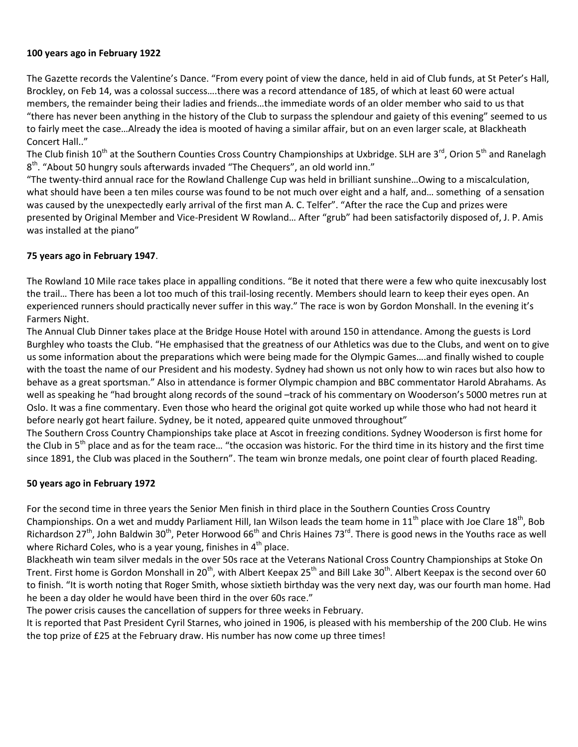#### **100 years ago in February 1922**

The Gazette records the Valentine's Dance. "From every point of view the dance, held in aid of Club funds, at St Peter's Hall, Brockley, on Feb 14, was a colossal success….there was a record attendance of 185, of which at least 60 were actual members, the remainder being their ladies and friends…the immediate words of an older member who said to us that "there has never been anything in the history of the Club to surpass the splendour and gaiety of this evening" seemed to us to fairly meet the case…Already the idea is mooted of having a similar affair, but on an even larger scale, at Blackheath Concert Hall.."

The Club finish 10<sup>th</sup> at the Southern Counties Cross Country Championships at Uxbridge. SLH are 3<sup>rd</sup>, Orion 5<sup>th</sup> and Ranelagh 8<sup>th</sup>. "About 50 hungry souls afterwards invaded "The Chequers", an old world inn."

"The twenty-third annual race for the Rowland Challenge Cup was held in brilliant sunshine…Owing to a miscalculation, what should have been a ten miles course was found to be not much over eight and a half, and… something of a sensation was caused by the unexpectedly early arrival of the first man A. C. Telfer". "After the race the Cup and prizes were presented by Original Member and Vice-President W Rowland… After "grub" had been satisfactorily disposed of, J. P. Amis was installed at the piano"

#### **75 years ago in February 1947**.

The Rowland 10 Mile race takes place in appalling conditions. "Be it noted that there were a few who quite inexcusably lost the trail… There has been a lot too much of this trail-losing recently. Members should learn to keep their eyes open. An experienced runners should practically never suffer in this way." The race is won by Gordon Monshall. In the evening it's Farmers Night.

The Annual Club Dinner takes place at the Bridge House Hotel with around 150 in attendance. Among the guests is Lord Burghley who toasts the Club. "He emphasised that the greatness of our Athletics was due to the Clubs, and went on to give us some information about the preparations which were being made for the Olympic Games….and finally wished to couple with the toast the name of our President and his modesty. Sydney had shown us not only how to win races but also how to behave as a great sportsman." Also in attendance is former Olympic champion and BBC commentator Harold Abrahams. As well as speaking he "had brought along records of the sound –track of his commentary on Wooderson's 5000 metres run at Oslo. It was a fine commentary. Even those who heard the original got quite worked up while those who had not heard it before nearly got heart failure. Sydney, be it noted, appeared quite unmoved throughout"

The Southern Cross Country Championships take place at Ascot in freezing conditions. Sydney Wooderson is first home for the Club in  $5<sup>th</sup>$  place and as for the team race... "the occasion was historic. For the third time in its history and the first time since 1891, the Club was placed in the Southern". The team win bronze medals, one point clear of fourth placed Reading.

#### **50 years ago in February 1972**

For the second time in three years the Senior Men finish in third place in the Southern Counties Cross Country Championships. On a wet and muddy Parliament Hill, Ian Wilson leads the team home in  $11<sup>th</sup>$  place with Joe Clare  $18<sup>th</sup>$ , Bob Richardson 27<sup>th</sup>, John Baldwin 30<sup>th</sup>, Peter Horwood 66<sup>th</sup> and Chris Haines 73<sup>rd</sup>. There is good news in the Youths race as well where Richard Coles, who is a year young, finishes in  $4<sup>th</sup>$  place.

Blackheath win team silver medals in the over 50s race at the Veterans National Cross Country Championships at Stoke On Trent. First home is Gordon Monshall in 20<sup>th</sup>, with Albert Keepax 25<sup>th</sup> and Bill Lake 30<sup>th</sup>. Albert Keepax is the second over 60 to finish. "It is worth noting that Roger Smith, whose sixtieth birthday was the very next day, was our fourth man home. Had he been a day older he would have been third in the over 60s race."

The power crisis causes the cancellation of suppers for three weeks in February.

It is reported that Past President Cyril Starnes, who joined in 1906, is pleased with his membership of the 200 Club. He wins the top prize of £25 at the February draw. His number has now come up three times!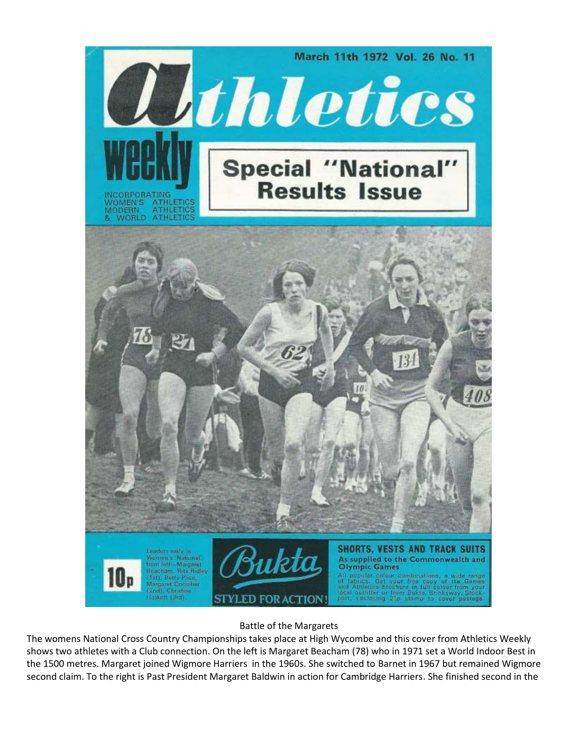

Battle of the Margarets

The womens National Cross Country Championships takes place at High Wycombe and this cover from Athletics Weekly shows two athletes with a Club connection. On the left is Margaret Beacham (78) who in 1971 set a World Indoor Best in the 1500 metres. Margaret joined Wigmore Harriers in the 1960s. She switched to Barnet in 1967 but remained Wigmore second claim. To the right is Past President Margaret Baldwin in action for Cambridge Harriers. She finished second in the